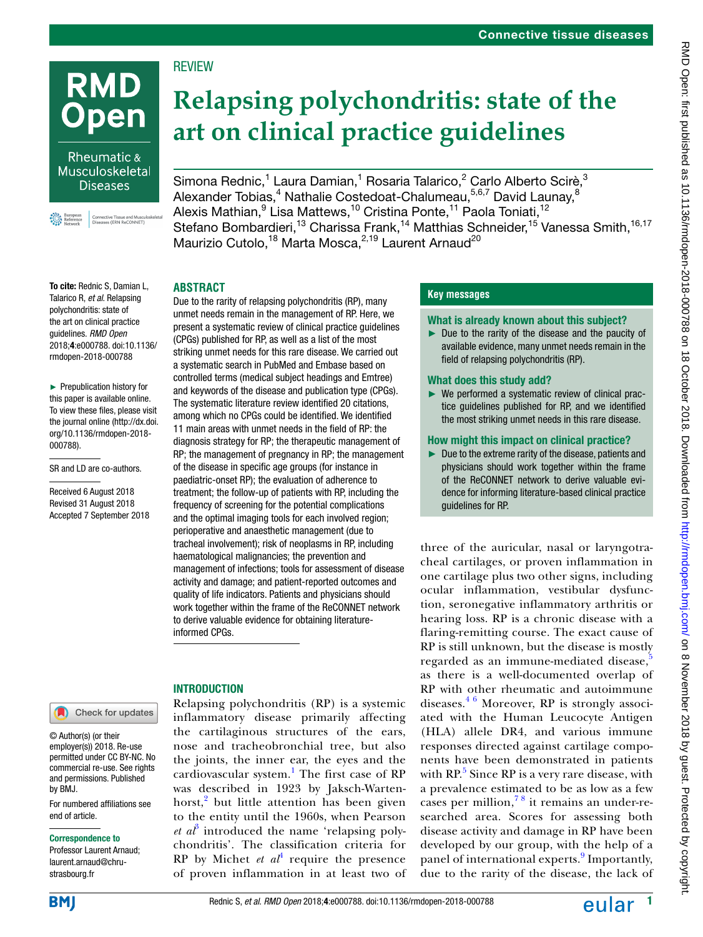

Rheumatic & Musculoskeletal **Diseases** 

ective Tissue and Musculos<br>ases (ERN ReCONNET)



To cite: Rednic S, Damian L, Talarico R, *et al*. Relapsing polychondritis: state of the art on clinical practice guidelines. *RMD Open* 2018;4:e000788. doi:10.1136/ rmdopen-2018-000788

► Prepublication history for this paper is available online. To view these files, please visit the journal online ([http://dx.doi.](http://dx.doi.org/10.1136/rmdopen-2018-000788) [org/10.1136/rmdopen-2018-](http://dx.doi.org/10.1136/rmdopen-2018-000788) [000788](http://dx.doi.org/10.1136/rmdopen-2018-000788)).

SR and LD are co-authors.

Received 6 August 2018 Revised 31 August 2018 Accepted 7 September 2018

# Check for updates

© Author(s) (or their employer(s)) 2018. Re-use permitted under CC BY-NC. No commercial re-use. See rights and permissions. Published by BMJ.

For numbered affiliations see end of article.

#### Correspondence to

Professor Laurent Arnaud; laurent.arnaud@chrustrasbourg.fr

**BM** 

Simona Rednic,<sup>1</sup> Laura Damian,<sup>1</sup> Rosaria Talarico,<sup>2</sup> Carlo Alberto Scirè,<sup>3</sup> Alexander Tobias,<sup>4</sup> Nathalie Costedoat-Chalumeau,<sup>5,6,7</sup> David Launay,<sup>8</sup> Alexis Mathian, $^9$  Lisa Mattews, $^{10}$  Cristina Ponte, $^{11}$  Paola Toniati, $^{12}$ Stefano Bombardieri,<sup>13</sup> Charissa Frank,<sup>14</sup> Matthias Schneider,<sup>15</sup> Vanessa Smith,<sup>16,17</sup> Maurizio Cutolo,<sup>18</sup> Marta Mosca,<sup>2,19</sup> Laurent Arnaud<sup>20</sup>

### **ABSTRACT**

**RFVIFW** 

Due to the rarity of relapsing polychondritis (RP), many unmet needs remain in the management of RP. Here, we present a systematic review of clinical practice guidelines (CPGs) published for RP, as well as a list of the most striking unmet needs for this rare disease. We carried out a systematic search in PubMed and Embase based on controlled terms (medical subject headings and Emtree) and keywords of the disease and publication type (CPGs). The systematic literature review identified 20 citations, among which no CPGs could be identified. We identified 11 main areas with unmet needs in the field of RP: the diagnosis strategy for RP; the therapeutic management of RP; the management of pregnancy in RP; the management of the disease in specific age groups (for instance in paediatric-onset RP); the evaluation of adherence to treatment; the follow-up of patients with RP, including the frequency of screening for the potential complications and the optimal imaging tools for each involved region; perioperative and anaesthetic management (due to tracheal involvement); risk of neoplasms in RP, including haematological malignancies; the prevention and management of infections; tools for assessment of disease activity and damage; and patient-reported outcomes and quality of life indicators. Patients and physicians should work together within the frame of the ReCONNET network to derive valuable evidence for obtaining literatureinformed CPGs.

## **INTRODUCTION**

Relapsing polychondritis (RP) is a systemic inflammatory disease primarily affecting the cartilaginous structures of the ears, nose and tracheobronchial tree, but also the joints, the inner ear, the eyes and the cardiovascular system.<sup>[1](#page-6-0)</sup> The first case of RP was described in 1923 by Jaksch-Warten-horst,<sup>[2](#page-6-1)</sup> but little attention has been given to the entity until the 1960s, when Pearson  $et\ a\ell^3$  $et\ a\ell^3$  introduced the name 'relapsing polychondritis'. The classification criteria for  $RP$  by Michet *et al*<sup>[4](#page-6-3)</sup> require the presence of proven inflammation in at least two of

## **Key messages**

### What is already known about this subject?

► Due to the rarity of the disease and the paucity of available evidence, many unmet needs remain in the field of relapsing polychondritis (RP).

### What does this study add?

► We performed a systematic review of clinical practice guidelines published for RP, and we identified the most striking unmet needs in this rare disease.

### How might this impact on clinical practice?

► Due to the extreme rarity of the disease, patients and physicians should work together within the frame of the ReCONNET network to derive valuable evidence for informing literature-based clinical practice guidelines for RP.

three of the auricular, nasal or laryngotracheal cartilages, or proven inflammation in one cartilage plus two other signs, including ocular inflammation, vestibular dysfunction, seronegative inflammatory arthritis or hearing loss. RP is a chronic disease with a flaring-remitting course. The exact cause of RP is still unknown, but the disease is mostly regarded as an immune-mediated disease, as there is a well-documented overlap of RP with other rheumatic and autoimmune diseases. $46$  Moreover, RP is strongly associated with the Human Leucocyte Antigen (HLA) allele DR4, and various immune responses directed against cartilage components have been demonstrated in patients with RP. $5$  Since RP is a very rare disease, with a prevalence estimated to be as low as a few cases per million,  $78$  it remains an under-researched area. Scores for assessing both disease activity and damage in RP have been developed by our group, with the help of a panel of international experts.<sup>[9](#page-7-0)</sup> Importantly, due to the rarity of the disease, the lack of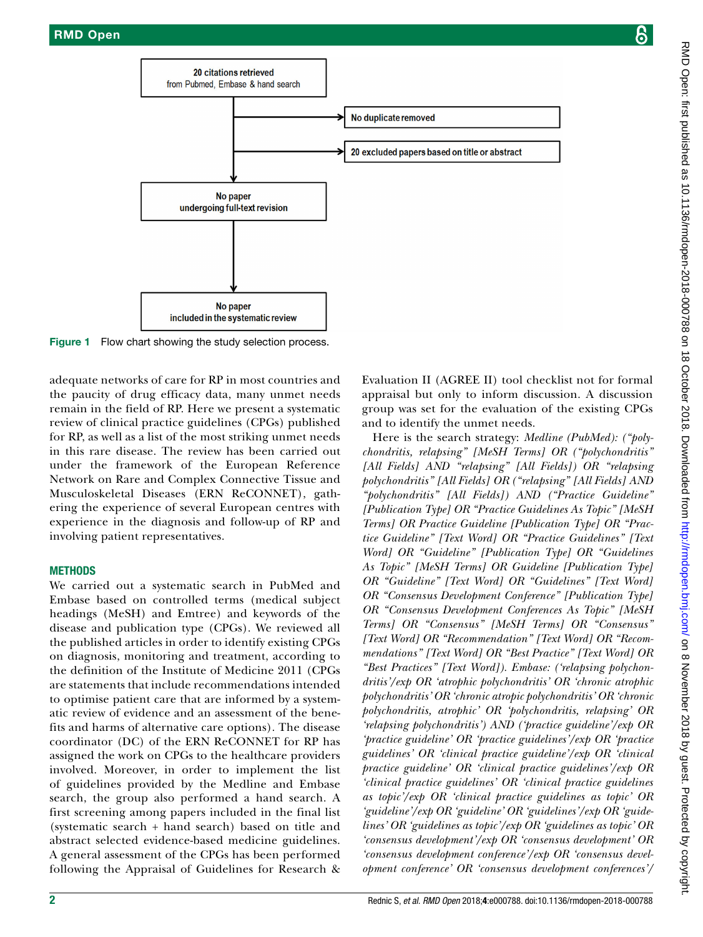

Figure 1 Flow chart showing the study selection process.

adequate networks of care for RP in most countries and the paucity of drug efficacy data, many unmet needs remain in the field of RP. Here we present a systematic review of clinical practice guidelines (CPGs) published for RP, as well as a list of the most striking unmet needs in this rare disease. The review has been carried out under the framework of the European Reference Network on Rare and Complex Connective Tissue and Musculoskeletal Diseases (ERN ReCONNET), gathering the experience of several European centres with experience in the diagnosis and follow-up of RP and involving patient representatives.

### **METHODS**

We carried out a systematic search in PubMed and Embase based on controlled terms (medical subject headings (MeSH) and Emtree) and keywords of the disease and publication type (CPGs). We reviewed all the published articles in order to identify existing CPGs on diagnosis, monitoring and treatment, according to the definition of the Institute of Medicine 2011 (CPGs are statements that include recommendations intended to optimise patient care that are informed by a systematic review of evidence and an assessment of the benefits and harms of alternative care options). The disease coordinator (DC) of the ERN ReCONNET for RP has assigned the work on CPGs to the healthcare providers involved. Moreover, in order to implement the list of guidelines provided by the Medline and Embase search, the group also performed a hand search. A first screening among papers included in the final list (systematic search + hand search) based on title and abstract selected evidence-based medicine guidelines. A general assessment of the CPGs has been performed following the Appraisal of Guidelines for Research &

<span id="page-1-0"></span>Evaluation II (AGREE II) tool checklist not for formal appraisal but only to inform discussion. A discussion group was set for the evaluation of the existing CPGs and to identify the unmet needs.

Here is the search strategy: *Medline (PubMed): ("polychondritis, relapsing" [MeSH Terms] OR ("polychondritis" [All Fields] AND "relapsing" [All Fields]) OR "relapsing polychondritis" [All Fields] OR ("relapsing" [All Fields] AND "polychondritis" [All Fields]) AND ("Practice Guideline" [Publication Type] OR "Practice Guidelines As Topic" [MeSH Terms] OR Practice Guideline [Publication Type] OR "Practice Guideline" [Text Word] OR "Practice Guidelines" [Text Word] OR "Guideline" [Publication Type] OR "Guidelines As Topic" [MeSH Terms] OR Guideline [Publication Type] OR "Guideline" [Text Word] OR "Guidelines" [Text Word] OR "Consensus Development Conference" [Publication Type] OR "Consensus Development Conferences As Topic" [MeSH Terms] OR "Consensus" [MeSH Terms] OR "Consensus" [Text Word] OR "Recommendation" [Text Word] OR "Recommendations" [Text Word] OR "Best Practice" [Text Word] OR "Best Practices" [Text Word]). Embase: ('relapsing polychondritis'/exp OR 'atrophic polychondritis' OR 'chronic atrophic polychondritis' OR 'chronic atropic polychondritis' OR 'chronic polychondritis, atrophic' OR 'polychondritis, relapsing' OR 'relapsing polychondritis') AND ('practice guideline'/exp OR 'practice guideline' OR 'practice guidelines'/exp OR 'practice guidelines' OR 'clinical practice guideline'/exp OR 'clinical practice guideline' OR 'clinical practice guidelines'/exp OR 'clinical practice guidelines' OR 'clinical practice guidelines as topic'/exp OR 'clinical practice guidelines as topic' OR 'guideline'/exp OR 'guideline' OR 'guidelines'/exp OR 'guidelines' OR 'guidelines as topic'/exp OR 'guidelines as topic' OR 'consensus development'/exp OR 'consensus development' OR 'consensus development conference'/exp OR 'consensus development conference' OR 'consensus development conferences'/*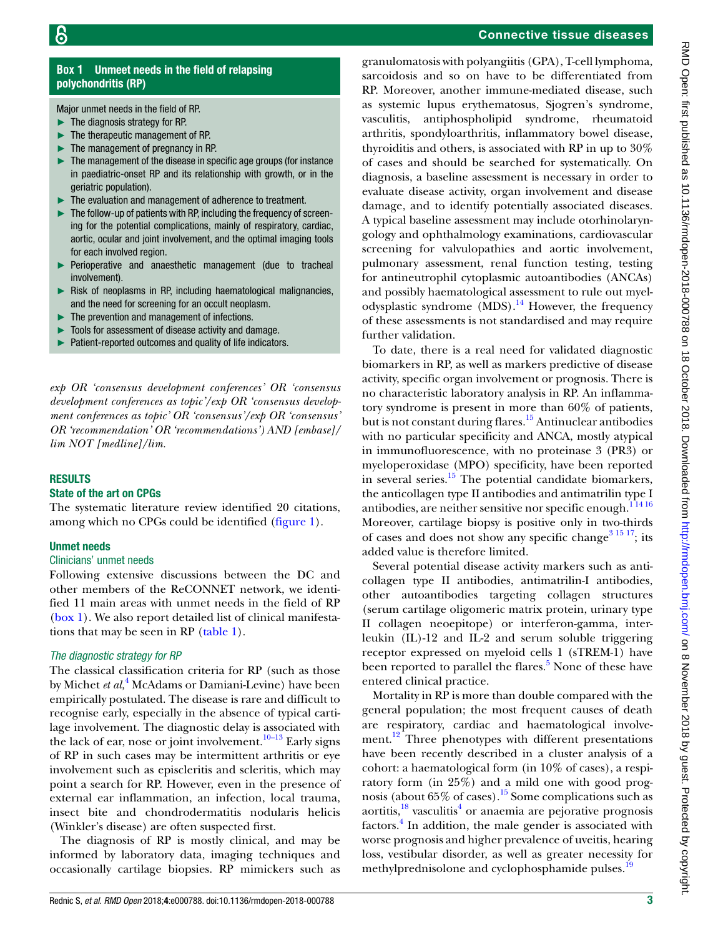## **Box 1** Unmeet needs in the field of relapsing polychondritis (RP)

<span id="page-2-0"></span>Major unmet needs in the field of RP.

- ► The diagnosis strategy for RP.
- ► The therapeutic management of RP.
- The management of pregnancy in RP.
- The management of the disease in specific age groups (for instance in paediatric-onset RP and its relationship with growth, or in the geriatric population).
- The evaluation and management of adherence to treatment.
- ► The follow-up of patients with RP, including the frequency of screening for the potential complications, mainly of respiratory, cardiac, aortic, ocular and joint involvement, and the optimal imaging tools for each involved region.
- ► Perioperative and anaesthetic management (due to tracheal involvement).
- ► Risk of neoplasms in RP, including haematological malignancies, and the need for screening for an occult neoplasm.
- The prevention and management of infections.
- Tools for assessment of disease activity and damage.
- Patient-reported outcomes and quality of life indicators.

*exp OR 'consensus development conferences' OR 'consensus development conferences as topic'/exp OR 'consensus development conferences as topic' OR 'consensus'/exp OR 'consensus' OR 'recommendation' OR 'recommendations') AND [embase]/ lim NOT [medline]/lim.*

#### **RESULTS**

#### State of the art on CPGs

The systematic literature review identified 20 citations, among which no CPGs could be identified [\(figure](#page-1-0) 1).

#### Unmet needs

#### Clinicians' unmet needs

Following extensive discussions between the DC and other members of the ReCONNET network, we identified 11 main areas with unmet needs in the field of RP [\(box](#page-2-0) 1). We also report detailed list of clinical manifestations that may be seen in RP ([table](#page-3-0) 1).

#### *The diagnostic strategy for RP*

The classical classification criteria for RP (such as those by Michet *et al,*[4](#page-6-3) McAdams or Damiani-Levine) have been empirically postulated. The disease is rare and difficult to recognise early, especially in the absence of typical cartilage involvement. The diagnostic delay is associated with the lack of ear, nose or joint involvement.<sup>10–13</sup> Early signs of RP in such cases may be intermittent arthritis or eye involvement such as episcleritis and scleritis, which may point a search for RP. However, even in the presence of external ear inflammation, an infection, local trauma, insect bite and chondrodermatitis nodularis helicis (Winkler's disease) are often suspected first.

The diagnosis of RP is mostly clinical, and may be informed by laboratory data, imaging techniques and occasionally cartilage biopsies. RP mimickers such as

### Connective tissue diseases

granulomatosis with polyangiitis (GPA), T-cell lymphoma, sarcoidosis and so on have to be differentiated from RP. Moreover, another immune-mediated disease, such as systemic lupus erythematosus, Sjogren's syndrome, vasculitis, antiphospholipid syndrome, rheumatoid arthritis, spondyloarthritis, inflammatory bowel disease, thyroiditis and others, is associated with RP in up to 30% of cases and should be searched for systematically. On diagnosis, a baseline assessment is necessary in order to evaluate disease activity, organ involvement and disease damage, and to identify potentially associated diseases. A typical baseline assessment may include otorhinolaryngology and ophthalmology examinations, cardiovascular screening for valvulopathies and aortic involvement, pulmonary assessment, renal function testing, testing for antineutrophil cytoplasmic autoantibodies (ANCAs) and possibly haematological assessment to rule out myelodysplastic syndrome  $(MDS)$ .<sup>14</sup> However, the frequency of these assessments is not standardised and may require further validation.

To date, there is a real need for validated diagnostic biomarkers in RP, as well as markers predictive of disease activity, specific organ involvement or prognosis. There is no characteristic laboratory analysis in RP. An inflammatory syndrome is present in more than 60% of patients, but is not constant during flares.<sup>[15](#page-7-3)</sup> Antinuclear antibodies with no particular specificity and ANCA, mostly atypical in immunofluorescence, with no proteinase 3 (PR3) or myeloperoxidase (MPO) specificity, have been reported in several series. $15$  The potential candidate biomarkers, the anticollagen type II antibodies and antimatrilin type I antibodies, are neither sensitive nor specific enough. $11416$ Moreover, cartilage biopsy is positive only in two-thirds of cases and does not show any specific change<sup>3 15 17</sup>; its added value is therefore limited.

Several potential disease activity markers such as anticollagen type II antibodies, antimatrilin-I antibodies, other autoantibodies targeting collagen structures (serum cartilage oligomeric matrix protein, urinary type II collagen neoepitope) or interferon-gamma, interleukin (IL)-12 and IL-2 and serum soluble triggering receptor expressed on myeloid cells 1 (sTREM-1) have been reported to parallel the flares.<sup>[5](#page-6-4)</sup> None of these have entered clinical practice.

Mortality in RP is more than double compared with the general population; the most frequent causes of death are respiratory, cardiac and haematological involve-ment.<sup>[12](#page-7-4)</sup> Three phenotypes with different presentations have been recently described in a cluster analysis of a cohort: a haematological form (in 10% of cases), a respiratory form (in 25%) and a mild one with good prognosis (about  $65\%$  of cases).<sup>15</sup> Some complications such as aortitis,<sup>18</sup> vasculitis<sup>[4](#page-6-3)</sup> or anaemia are pejorative prognosis factors.<sup>4</sup> In addition, the male gender is associated with worse prognosis and higher prevalence of uveitis, hearing loss, vestibular disorder, as well as greater necessity for methylprednisolone and cyclophosphamide pulses.<sup>[19](#page-7-6)</sup>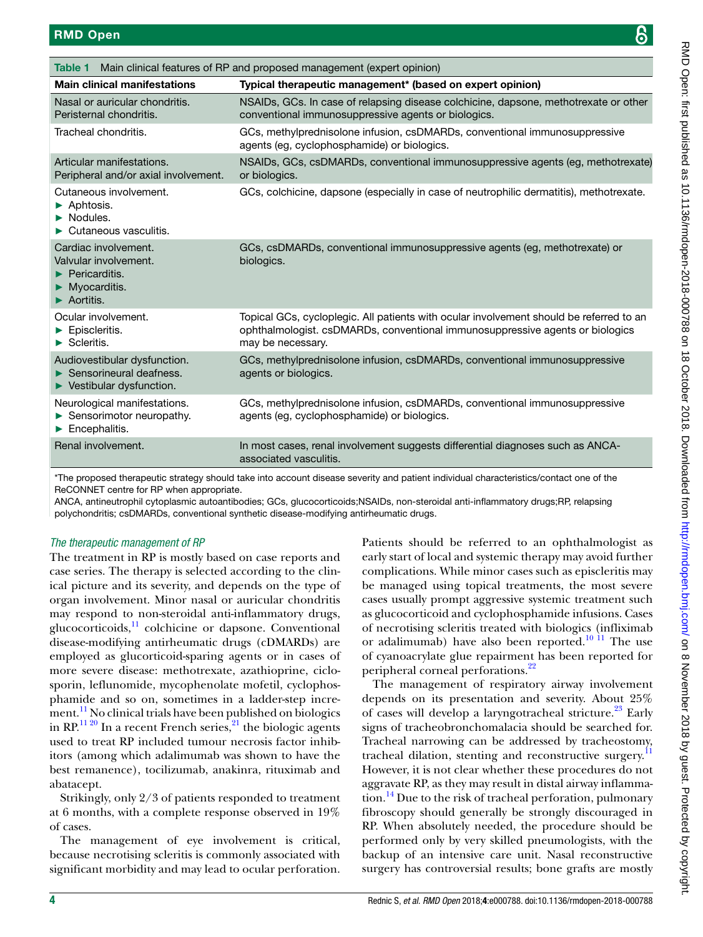<span id="page-3-0"></span>

| Main clinical features of RP and proposed management (expert opinion)<br><b>Table 1</b>                  |                                                                                                                                                                                               |  |  |
|----------------------------------------------------------------------------------------------------------|-----------------------------------------------------------------------------------------------------------------------------------------------------------------------------------------------|--|--|
| <b>Main clinical manifestations</b>                                                                      | Typical therapeutic management* (based on expert opinion)                                                                                                                                     |  |  |
| Nasal or auricular chondritis.<br>Peristernal chondritis.                                                | NSAIDs, GCs. In case of relapsing disease colchicine, dapsone, methotrexate or other<br>conventional immunosuppressive agents or biologics.                                                   |  |  |
| Tracheal chondritis.                                                                                     | GCs, methylprednisolone infusion, csDMARDs, conventional immunosuppressive<br>agents (eq. cyclophosphamide) or biologics.                                                                     |  |  |
| Articular manifestations.<br>Peripheral and/or axial involvement.                                        | NSAIDs, GCs, csDMARDs, conventional immunosuppressive agents (eg, methotrexate)<br>or biologics.                                                                                              |  |  |
| Cutaneous involvement.<br>Aphtosis.<br>Nodules.<br>Cutaneous vasculitis.                                 | GCs, colchicine, dapsone (especially in case of neutrophilic dermatitis), methotrexate.                                                                                                       |  |  |
| Cardiac involvement.<br>Valvular involvement.<br>Pericarditis.<br>Myocarditis.<br>Aortitis.              | GCs, csDMARDs, conventional immunosuppressive agents (eg, methotrexate) or<br>biologics.                                                                                                      |  |  |
| Ocular involvement.<br>Episcleritis.<br>$\blacktriangleright$ Scleritis.                                 | Topical GCs, cycloplegic. All patients with ocular involvement should be referred to an<br>ophthalmologist. csDMARDs, conventional immunosuppressive agents or biologics<br>may be necessary. |  |  |
| Audiovestibular dysfunction.<br>Sensorineural deafness.<br>$\blacktriangleright$ Vestibular dysfunction. | GCs, methylprednisolone infusion, csDMARDs, conventional immunosuppressive<br>agents or biologics.                                                                                            |  |  |
| Neurological manifestations.<br>Sensorimotor neuropathy.<br>Encephalitis.                                | GCs, methylprednisolone infusion, csDMARDs, conventional immunosuppressive<br>agents (eg, cyclophosphamide) or biologics.                                                                     |  |  |
| Renal involvement.                                                                                       | In most cases, renal involvement suggests differential diagnoses such as ANCA-<br>associated vasculitis.                                                                                      |  |  |

\*The proposed therapeutic strategy should take into account disease severity and patient individual characteristics/contact one of the ReCONNET centre for RP when appropriate.

ANCA, antineutrophil cytoplasmic autoantibodies; GCs, glucocorticoids;NSAIDs, non-steroidal anti-inflammatory drugs;RP, relapsing polychondritis; csDMARDs, conventional synthetic disease-modifying antirheumatic drugs.

### *The therapeutic management of RP*

The treatment in RP is mostly based on case reports and case series. The therapy is selected according to the clinical picture and its severity, and depends on the type of organ involvement. Minor nasal or auricular chondritis may respond to non-steroidal anti-inflammatory drugs, glucocorticoids, $\frac{11}{11}$  colchicine or dapsone. Conventional disease-modifying antirheumatic drugs (cDMARDs) are employed as glucorticoid-sparing agents or in cases of more severe disease: methotrexate, azathioprine, ciclosporin, leflunomide, mycophenolate mofetil, cyclophosphamide and so on, sometimes in a ladder-step increment.<sup>11</sup> No clinical trials have been published on biologics in RP.<sup>11 20</sup> In a recent French series, <sup>21</sup> the biologic agents used to treat RP included tumour necrosis factor inhibitors (among which adalimumab was shown to have the best remanence), tocilizumab, anakinra, rituximab and abatacept.

Strikingly, only 2/3 of patients responded to treatment at 6 months, with a complete response observed in 19% of cases.

The management of eye involvement is critical, because necrotising scleritis is commonly associated with significant morbidity and may lead to ocular perforation. Patients should be referred to an ophthalmologist as early start of local and systemic therapy may avoid further complications. While minor cases such as episcleritis may be managed using topical treatments, the most severe cases usually prompt aggressive systemic treatment such as glucocorticoid and cyclophosphamide infusions. Cases of necrotising scleritis treated with biologics (infliximab or adalimumab) have also been reported.<sup>10 11</sup> The use of cyanoacrylate glue repairment has been reported for peripheral corneal perforations.<sup>[22](#page-7-9)</sup>

The management of respiratory airway involvement depends on its presentation and severity. About 25% of cases will develop a laryngotracheal stricture.<sup>[23](#page-7-10)</sup> Early signs of tracheobronchomalacia should be searched for. Tracheal narrowing can be addressed by tracheostomy, tracheal dilation, stenting and reconstructive surgery.<sup>11</sup> However, it is not clear whether these procedures do not aggravate RP, as they may result in distal airway inflammation.<sup>14</sup> Due to the risk of tracheal perforation, pulmonary fibroscopy should generally be strongly discouraged in RP. When absolutely needed, the procedure should be performed only by very skilled pneumologists, with the backup of an intensive care unit. Nasal reconstructive surgery has controversial results; bone grafts are mostly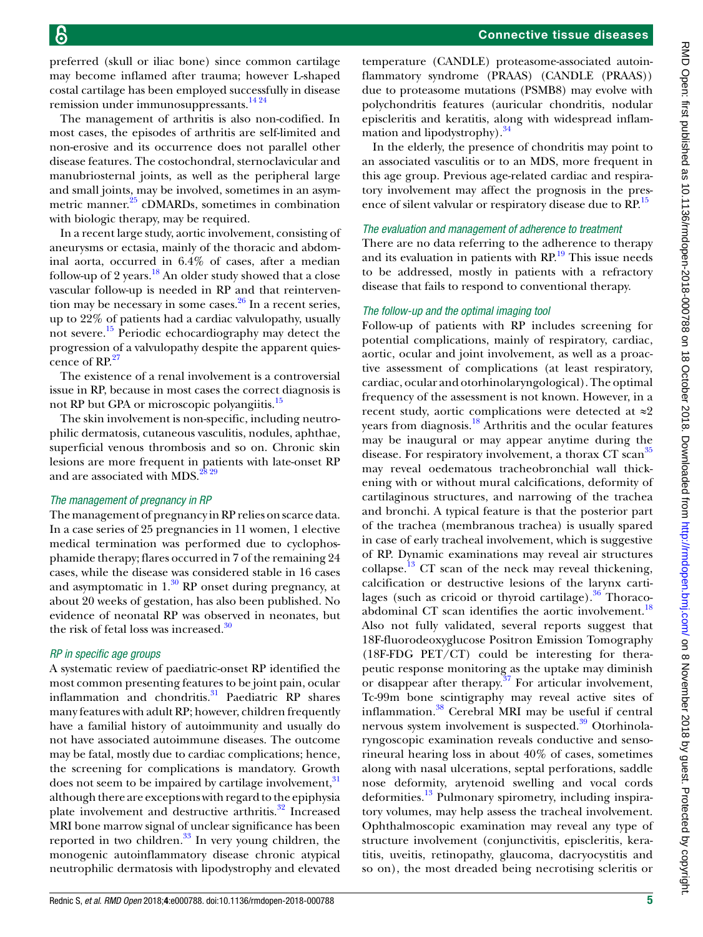preferred (skull or iliac bone) since common cartilage may become inflamed after trauma; however L-shaped costal cartilage has been employed successfully in disease remission under immunosuppressants.[14 24](#page-7-2)

The management of arthritis is also non-codified. In most cases, the episodes of arthritis are self-limited and non-erosive and its occurrence does not parallel other disease features. The costochondral, sternoclavicular and manubriosternal joints, as well as the peripheral large and small joints, may be involved, sometimes in an asymmetric manner.<sup>25</sup> cDMARDs, sometimes in combination with biologic therapy, may be required.

In a recent large study, aortic involvement, consisting of aneurysms or ectasia, mainly of the thoracic and abdominal aorta, occurred in 6.4% of cases, after a median follow-up of 2 years. $18$  An older study showed that a close vascular follow-up is needed in RP and that reintervention may be necessary in some cases. $^{26}$  In a recent series, up to 22% of patients had a cardiac valvulopathy, usually not severe.[15](#page-7-3) Periodic echocardiography may detect the progression of a valvulopathy despite the apparent quies-cence of RP.<sup>[27](#page-7-13)</sup>

The existence of a renal involvement is a controversial issue in RP, because in most cases the correct diagnosis is not RP but GPA or microscopic polyangiitis.<sup>15</sup>

The skin involvement is non-specific, including neutrophilic dermatosis, cutaneous vasculitis, nodules, aphthae, superficial venous thrombosis and so on. Chronic skin lesions are more frequent in patients with late-onset RP and are associated with MDS. $^{28\,29}$ 

#### *The management of pregnancy in RP*

The management of pregnancy in RP relies on scarce data. In a case series of 25 pregnancies in 11 women, 1 elective medical termination was performed due to cyclophosphamide therapy; flares occurred in 7 of the remaining 24 cases, while the disease was considered stable in 16 cases and asymptomatic in  $1<sup>30</sup>$  RP onset during pregnancy, at about 20 weeks of gestation, has also been published. No evidence of neonatal RP was observed in neonates, but the risk of fetal loss was increased. $\frac{30}{20}$  $\frac{30}{20}$  $\frac{30}{20}$ 

#### *RP in specific age groups*

A systematic review of paediatric-onset RP identified the most common presenting features to be joint pain, ocular inflammation and chondritis.<sup>31</sup> Paediatric RP shares many features with adult RP; however, children frequently have a familial history of autoimmunity and usually do not have associated autoimmune diseases. The outcome may be fatal, mostly due to cardiac complications; hence, the screening for complications is mandatory. Growth does not seem to be impaired by cartilage involvement,<sup>[31](#page-7-16)</sup> although there are exceptions with regard to the epiphysia plate involvement and destructive arthritis.<sup>32</sup> Increased MRI bone marrow signal of unclear significance has been reported in two children. $33$  In very young children, the monogenic autoinflammatory disease chronic atypical neutrophilic dermatosis with lipodystrophy and elevated

temperature (CANDLE) proteasome-associated autoinflammatory syndrome (PRAAS) (CANDLE (PRAAS)) due to proteasome mutations (PSMB8) may evolve with polychondritis features (auricular chondritis, nodular episcleritis and keratitis, along with widespread inflammation and lipodystrophy).<sup>34</sup>

In the elderly, the presence of chondritis may point to an associated vasculitis or to an MDS, more frequent in this age group. Previous age-related cardiac and respiratory involvement may affect the prognosis in the presence of silent valvular or respiratory disease due to RP.<sup>15</sup>

# *The evaluation and management of adherence to treatment*

There are no data referring to the adherence to therapy and its evaluation in patients with  $\mathbb{RP}^{19}$ . This issue needs to be addressed, mostly in patients with a refractory disease that fails to respond to conventional therapy.

#### *The follow-up and the optimal imaging tool*

Follow-up of patients with RP includes screening for potential complications, mainly of respiratory, cardiac, aortic, ocular and joint involvement, as well as a proactive assessment of complications (at least respiratory, cardiac, ocular and otorhinolaryngological). The optimal frequency of the assessment is not known. However, in a recent study, aortic complications were detected at ≈2 years from diagnosis.<sup>18</sup> Arthritis and the ocular features may be inaugural or may appear anytime during the disease. For respiratory involvement, a thorax CT scan<sup>[35](#page-7-20)</sup> may reveal oedematous tracheobronchial wall thickening with or without mural calcifications, deformity of cartilaginous structures, and narrowing of the trachea and bronchi. A typical feature is that the posterior part of the trachea (membranous trachea) is usually spared in case of early tracheal involvement, which is suggestive of RP. Dynamic examinations may reveal air structures collapse. $^{13}$  CT scan of the neck may reveal thickening, calcification or destructive lesions of the larynx cartilages (such as cricoid or thyroid cartilage). $36$  Thoraco-abdominal CT scan identifies the aortic involvement.<sup>[18](#page-7-5)</sup> Also not fully validated, several reports suggest that 18F-fluorodeoxyglucose Positron Emission Tomography (18F-FDG PET/CT) could be interesting for therapeutic response monitoring as the uptake may diminish or disappear after therapy. $37$  For articular involvement, Tc-99m bone scintigraphy may reveal active sites of inflammation.[38](#page-7-24) Cerebral MRI may be useful if central nervous system involvement is suspected.<sup>39</sup> Otorhinolaryngoscopic examination reveals conductive and sensorineural hearing loss in about 40% of cases, sometimes along with nasal ulcerations, septal perforations, saddle nose deformity, arytenoid swelling and vocal cords deformities.<sup>13</sup> Pulmonary spirometry, including inspiratory volumes, may help assess the tracheal involvement. Ophthalmoscopic examination may reveal any type of structure involvement (conjunctivitis, episcleritis, keratitis, uveitis, retinopathy, glaucoma, dacryocystitis and so on), the most dreaded being necrotising scleritis or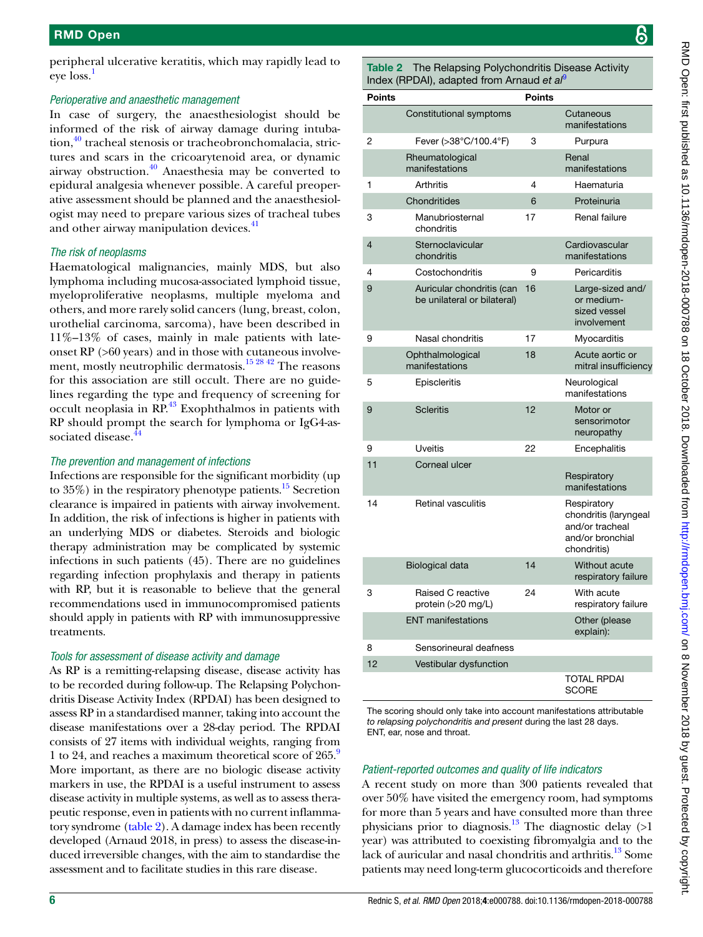peripheral ulcerative keratitis, which may rapidly lead to eve loss.<sup>[1](#page-6-0)</sup>

### *Perioperative and anaesthetic management*

In case of surgery, the anaesthesiologist should be informed of the risk of airway damage during intubation,<sup>40</sup> tracheal stenosis or tracheobronchomalacia, strictures and scars in the cricoarytenoid area, or dynamic airway obstruction. $40$  Anaesthesia may be converted to epidural analgesia whenever possible. A careful preoperative assessment should be planned and the anaesthesiologist may need to prepare various sizes of tracheal tubes and other airway manipulation devices.<sup>[41](#page-7-27)</sup>

### *The risk of neoplasms*

Haematological malignancies, mainly MDS, but also lymphoma including mucosa-associated lymphoid tissue, myeloproliferative neoplasms, multiple myeloma and others, and more rarely solid cancers (lung, breast, colon, urothelial carcinoma, sarcoma), have been described in 11%–13% of cases, mainly in male patients with lateonset RP (>60 years) and in those with cutaneous involve-ment, mostly neutrophilic dermatosis.<sup>[15 28 42](#page-7-3)</sup> The reasons for this association are still occult. There are no guidelines regarding the type and frequency of screening for occult neoplasia in RP.<sup>43</sup> Exophthalmos in patients with RP should prompt the search for lymphoma or IgG4-associated disease.<sup>4</sup>

### *The prevention and management of infections*

Infections are responsible for the significant morbidity (up to  $35\%$ ) in the respiratory phenotype patients.<sup>[15](#page-7-3)</sup> Secretion clearance is impaired in patients with airway involvement. In addition, the risk of infections is higher in patients with an underlying MDS or diabetes. Steroids and biologic therapy administration may be complicated by systemic infections in such patients (45). There are no guidelines regarding infection prophylaxis and therapy in patients with RP, but it is reasonable to believe that the general recommendations used in immunocompromised patients should apply in patients with RP with immunosuppressive treatments.

### *Tools for assessment of disease activity and damage*

As RP is a remitting-relapsing disease, disease activity has to be recorded during follow-up. The Relapsing Polychondritis Disease Activity Index (RPDAI) has been designed to assess RP in a standardised manner, taking into account the disease manifestations over a 28-day period. The RPDAI consists of 27 items with individual weights, ranging from 1 to 24, and reaches a maximum theoretical score of 265.<sup>9</sup> More important, as there are no biologic disease activity markers in use, the RPDAI is a useful instrument to assess disease activity in multiple systems, as well as to assess therapeutic response, even in patients with no current inflammatory syndrome ([table](#page-5-0) 2). A damage index has been recently developed (Arnaud 2018, in press) to assess the disease-induced irreversible changes, with the aim to standardise the assessment and to facilitate studies in this rare disease.

<span id="page-5-0"></span>Table 2 The Relapsing Polychondritis Disease Activity Index (RPDAI), adapted from Arnaud *et al*[9](#page-7-0)

| <b>Points</b>  |                                                          | <b>Points</b> |                                                                                            |
|----------------|----------------------------------------------------------|---------------|--------------------------------------------------------------------------------------------|
|                | Constitutional symptoms                                  |               | Cutaneous<br>manifestations                                                                |
| 2              | Fever (>38°C/100.4°F)                                    | 3             | Purpura                                                                                    |
|                | Rheumatological<br>manifestations                        |               | Renal<br>manifestations                                                                    |
| 1              | <b>Arthritis</b>                                         | 4             | Haematuria                                                                                 |
|                | Chondritides                                             | 6             | Proteinuria                                                                                |
| 3              | Manubriosternal<br>chondritis                            | 17            | Renal failure                                                                              |
| $\overline{4}$ | Sternoclavicular<br>chondritis                           |               | Cardiovascular<br>manifestations                                                           |
| 4              | Costochondritis                                          | 9             | Pericarditis                                                                               |
| 9              | Auricular chondritis (can<br>be unilateral or bilateral) | 16            | Large-sized and/<br>or medium-<br>sized vessel<br>involvement                              |
| 9              | Nasal chondritis                                         | 17            | Myocarditis                                                                                |
|                | Ophthalmological<br>manifestations                       | 18            | Acute aortic or<br>mitral insufficiency                                                    |
| 5              | Episcleritis                                             |               | Neurological<br>manifestations                                                             |
| 9              | <b>Scleritis</b>                                         | 12            | Motor or<br>sensorimotor<br>neuropathy                                                     |
| 9              | <b>Uveitis</b>                                           | 22            | Encephalitis                                                                               |
| 11             | Corneal ulcer                                            |               | Respiratory<br>manifestations                                                              |
| 14             | <b>Retinal vasculitis</b>                                |               | Respiratory<br>chondritis (laryngeal<br>and/or tracheal<br>and/or bronchial<br>chondritis) |
|                | <b>Biological data</b>                                   | 14            | Without acute<br>respiratory failure                                                       |
| 3              | Raised C reactive<br>protein (>20 mg/L)                  | 24            | With acute<br>respiratory failure                                                          |
|                | <b>ENT</b> manifestations                                |               | Other (please<br>explain):                                                                 |
| 8              | Sensorineural deafness                                   |               |                                                                                            |
| 12             | Vestibular dysfunction                                   |               |                                                                                            |
|                |                                                          |               | <b>TOTAL RPDAI</b><br><b>SCORE</b>                                                         |

The scoring should only take into account manifestations attributable *to relapsing polychondritis and present* during the last 28 days. ENT, ear, nose and throat.

### *Patient-reported outcomes and quality of life indicators*

A recent study on more than 300 patients revealed that over 50% have visited the emergency room, had symptoms for more than 5 years and have consulted more than three physicians prior to diagnosis.<sup>13</sup> The diagnostic delay  $(>1)$ year) was attributed to coexisting fibromyalgia and to the lack of auricular and nasal chondritis and arthritis.<sup>13</sup> Some patients may need long-term glucocorticoids and therefore

၆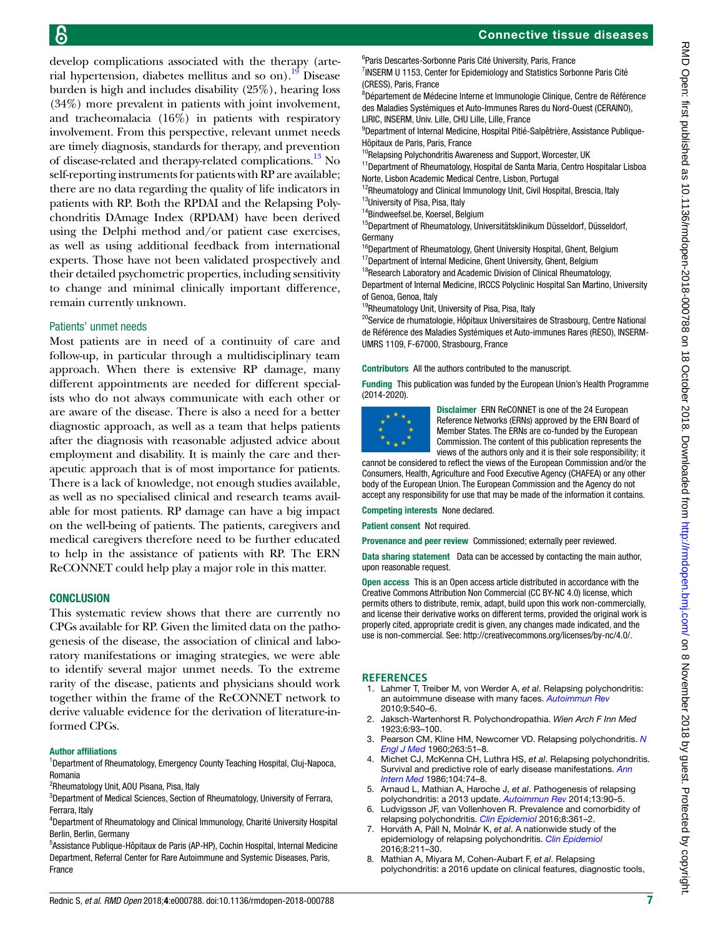develop complications associated with the therapy (arte-rial hypertension, diabetes mellitus and so on).<sup>[19](#page-7-6)</sup> Disease burden is high and includes disability (25%), hearing loss (34%) more prevalent in patients with joint involvement, and tracheomalacia (16%) in patients with respiratory involvement. From this perspective, relevant unmet needs are timely diagnosis, standards for therapy, and prevention of disease-related and therapy-related complications.<sup>[13](#page-7-21)</sup> No self-reporting instruments for patients with RP are available; there are no data regarding the quality of life indicators in patients with RP. Both the RPDAI and the Relapsing Polychondritis DAmage Index (RPDAM) have been derived using the Delphi method and/or patient case exercises, as well as using additional feedback from international experts. Those have not been validated prospectively and their detailed psychometric properties, including sensitivity to change and minimal clinically important difference, remain currently unknown.

#### Patients' unmet needs

Most patients are in need of a continuity of care and follow-up, in particular through a multidisciplinary team approach. When there is extensive RP damage, many different appointments are needed for different specialists who do not always communicate with each other or are aware of the disease. There is also a need for a better diagnostic approach, as well as a team that helps patients after the diagnosis with reasonable adjusted advice about employment and disability. It is mainly the care and therapeutic approach that is of most importance for patients. There is a lack of knowledge, not enough studies available, as well as no specialised clinical and research teams available for most patients. RP damage can have a big impact on the well-being of patients. The patients, caregivers and medical caregivers therefore need to be further educated to help in the assistance of patients with RP. The ERN ReCONNET could help play a major role in this matter.

### **CONCLUSION**

This systematic review shows that there are currently no CPGs available for RP. Given the limited data on the pathogenesis of the disease, the association of clinical and laboratory manifestations or imaging strategies, we were able to identify several major unmet needs. To the extreme rarity of the disease, patients and physicians should work together within the frame of the ReCONNET network to derive valuable evidence for the derivation of literature-informed CPGs.

#### Author affiliations

<sup>1</sup>Department of Rheumatology, Emergency County Teaching Hospital, Cluj-Napoca, Romania

<sup>2</sup>Rheumatology Unit, AOU Pisana, Pisa, Italy

<sup>3</sup>Department of Medical Sciences, Section of Rheumatology, University of Ferrara, Ferrara, Italy

4 Department of Rheumatology and Clinical Immunology, Charité University Hospital Berlin, Berlin, Germany

<sup>5</sup>Assistance Publique-Hôpitaux de Paris (AP-HP), Cochin Hospital, Internal Medicine Department, Referral Center for Rare Autoimmune and Systemic Diseases, Paris, France

<sup>7</sup>INSERM U 1153, Center for Epidemiology and Statistics Sorbonne Paris Cité (CRESS), Paris, France

<sup>8</sup>Département de Médecine Interne et Immunologie Clinique, Centre de Référence des Maladies Systémiques et Auto-Immunes Rares du Nord-Ouest (CERAINO), LIRIC, INSERM, Univ. Lille, CHU Lille, Lille, France

<sup>9</sup>Department of Internal Medicine, Hospital Pitié-Salpêtrière, Assistance Publique-Hôpitaux de Paris, Paris, France

 $^{10}$ Relapsing Polychondritis Awareness and Support, Worcester, UK

<sup>11</sup>Department of Rheumatology, Hospital de Santa Maria, Centro Hospitalar Lisboa Norte, Lisbon Academic Medical Centre, Lisbon, Portugal

<sup>12</sup>Rheumatology and Clinical Immunology Unit, Civil Hospital, Brescia, Italy <sup>13</sup>University of Pisa, Pisa, Italy

<sup>14</sup>Bindweefsel.be, Koersel, Belgium

<sup>15</sup>Department of Rheumatology, Universitätsklinikum Düsseldorf, Düsseldorf, Germany

<sup>16</sup>Department of Rheumatology, Ghent University Hospital, Ghent, Belgium

 $17$ Department of Internal Medicine, Ghent University, Ghent, Belgium <sup>18</sup>Research Laboratory and Academic Division of Clinical Rheumatology,

Department of Internal Medicine, IRCCS Polyclinic Hospital San Martino, University of Genoa, Genoa, Italy

<sup>19</sup>Rheumatology Unit, University of Pisa, Pisa, Italy

<sup>20</sup>Service de rhumatologie, Hôpitaux Universitaires de Strasbourg, Centre National de Référence des Maladies Systémiques et Auto-immunes Rares (RESO), INSERM-UMRS 1109, F-67000, Strasbourg, France

Contributors All the authors contributed to the manuscript.

Funding This publication was funded by the European Union's Health Programme (2014-2020).



Disclaimer ERN ReCONNET is one of the 24 European Reference Networks (ERNs) approved by the ERN Board of Member States. The ERNs are co-funded by the European Commission. The content of this publication represents the views of the authors only and it is their sole responsibility; it

cannot be considered to reflect the views of the European Commission and/or the Consumers, Health, Agriculture and Food Executive Agency (CHAFEA) or any other body of the European Union. The European Commission and the Agency do not accept any responsibility for use that may be made of the information it contains.

Competing interests None declared.

Patient consent Not required.

Provenance and peer review Commissioned; externally peer reviewed.

Data sharing statement Data can be accessed by contacting the main author, upon reasonable request.

Open access This is an Open access article distributed in accordance with the Creative Commons Attribution Non Commercial (CC BY-NC 4.0) license, which permits others to distribute, remix, adapt, build upon this work non-commercially, and license their derivative works on different terms, provided the original work is properly cited, appropriate credit is given, any changes made indicated, and the use is non-commercial. See: <http://creativecommons.org/licenses/by-nc/4.0/>.

#### **References**

- <span id="page-6-0"></span>1. Lahmer T, Treiber M, von Werder A, *et al*. Relapsing polychondritis: an autoimmune disease with many faces. *[Autoimmun Rev](http://dx.doi.org/10.1016/j.autrev.2010.02.016)* 2010;9:540–6.
- <span id="page-6-1"></span>2. Jaksch-Wartenhorst R. Polychondropathia. *Wien Arch F Inn Med* 1923;6:93–100.
- <span id="page-6-2"></span>3. Pearson CM, Kline HM, Newcomer VD. Relapsing polychondritis. *[N](http://dx.doi.org/10.1056/NEJM196007142630201)  [Engl J Med](http://dx.doi.org/10.1056/NEJM196007142630201)* 1960;263:51–8.
- <span id="page-6-3"></span>4. Michet CJ, McKenna CH, Luthra HS, *et al*. Relapsing polychondritis. Survival and predictive role of early disease manifestations. *[Ann](http://www.ncbi.nlm.nih.gov/pubmed/3484422)  [Intern Med](http://www.ncbi.nlm.nih.gov/pubmed/3484422)* 1986;104:74–8.
- <span id="page-6-4"></span>5. Arnaud L, Mathian A, Haroche J, *et al*. Pathogenesis of relapsing polychondritis: a 2013 update. *[Autoimmun Rev](http://dx.doi.org/10.1016/j.autrev.2013.07.005)* 2014;13:90–5.
- 6. Ludvigsson JF, van Vollenhoven R. Prevalence and comorbidity of relapsing polychondritis. *[Clin Epidemiol](http://dx.doi.org/10.2147/CLEP.S121272)* 2016;8:361–2.
- <span id="page-6-5"></span>7. Horváth A, Páll N, Molnár K, *et al*. A nationwide study of the epidemiology of relapsing polychondritis. *[Clin Epidemiol](http://dx.doi.org/10.2147/CLEP.S91439)* 2016;8:211–30.
- 8. Mathian A, Miyara M, Cohen-Aubart F, *et al*. Relapsing polychondritis: a 2016 update on clinical features, diagnostic tools,